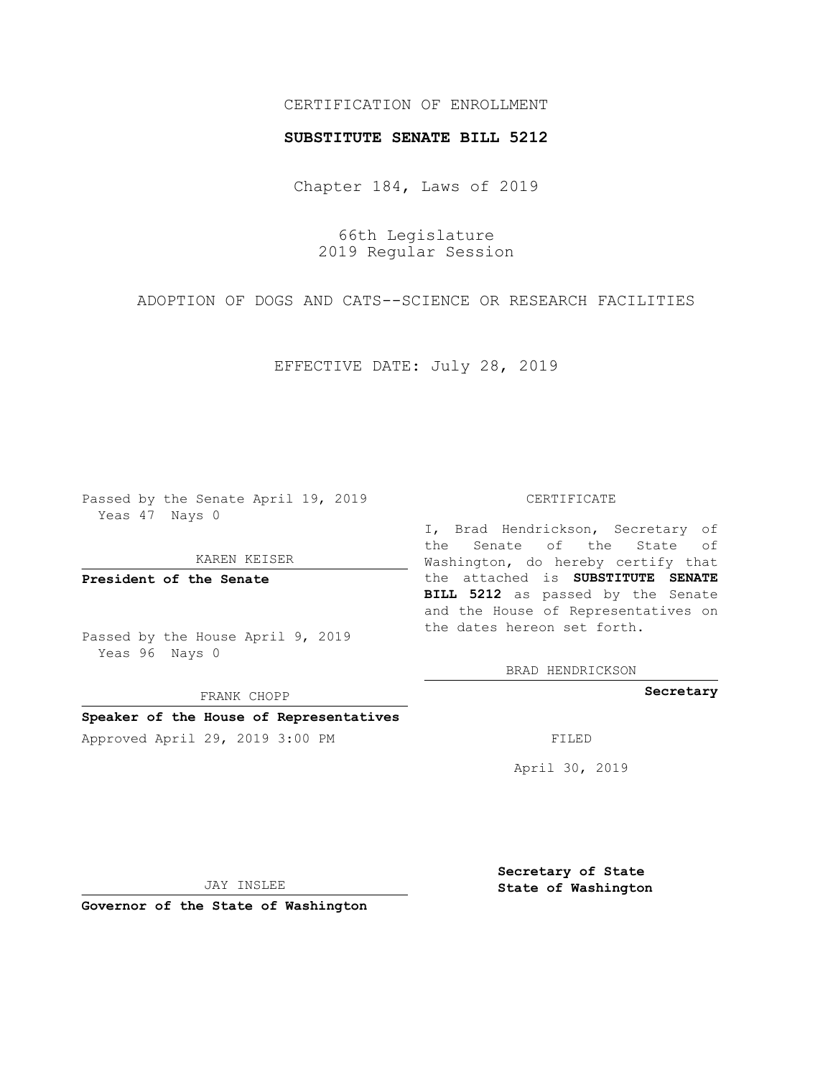## CERTIFICATION OF ENROLLMENT

### **SUBSTITUTE SENATE BILL 5212**

Chapter 184, Laws of 2019

66th Legislature 2019 Regular Session

ADOPTION OF DOGS AND CATS--SCIENCE OR RESEARCH FACILITIES

EFFECTIVE DATE: July 28, 2019

Passed by the Senate April 19, 2019 Yeas 47 Nays 0

KAREN KEISER

**President of the Senate**

Passed by the House April 9, 2019 Yeas 96 Nays 0

FRANK CHOPP

# **Speaker of the House of Representatives**

Approved April 29, 2019 3:00 PM FILED

#### CERTIFICATE

I, Brad Hendrickson, Secretary of the Senate of the State of Washington, do hereby certify that the attached is **SUBSTITUTE SENATE BILL 5212** as passed by the Senate and the House of Representatives on the dates hereon set forth.

BRAD HENDRICKSON

**Secretary**

April 30, 2019

JAY INSLEE

**Governor of the State of Washington**

**Secretary of State State of Washington**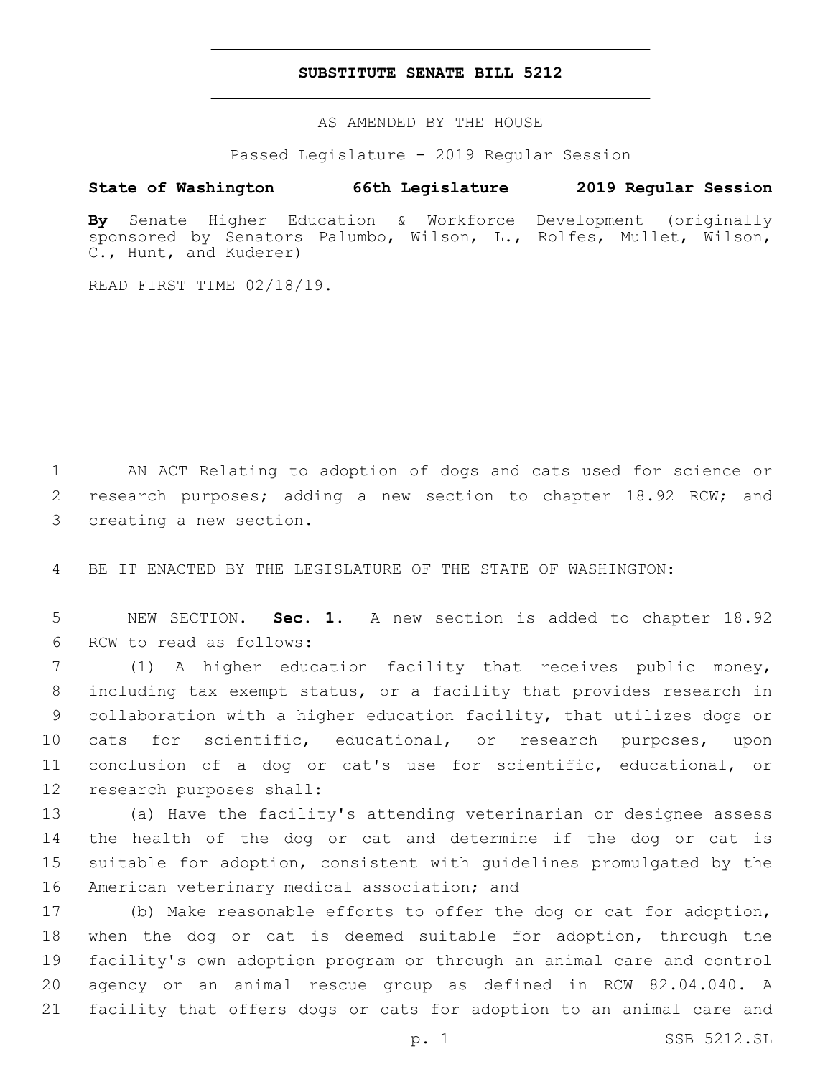## **SUBSTITUTE SENATE BILL 5212**

AS AMENDED BY THE HOUSE

Passed Legislature - 2019 Regular Session

# **State of Washington 66th Legislature 2019 Regular Session**

**By** Senate Higher Education & Workforce Development (originally sponsored by Senators Palumbo, Wilson, L., Rolfes, Mullet, Wilson, C., Hunt, and Kuderer)

READ FIRST TIME 02/18/19.

1 AN ACT Relating to adoption of dogs and cats used for science or 2 research purposes; adding a new section to chapter 18.92 RCW; and 3 creating a new section.

4 BE IT ENACTED BY THE LEGISLATURE OF THE STATE OF WASHINGTON:

5 NEW SECTION. **Sec. 1.** A new section is added to chapter 18.92 6 RCW to read as follows:

 (1) A higher education facility that receives public money, including tax exempt status, or a facility that provides research in collaboration with a higher education facility, that utilizes dogs or cats for scientific, educational, or research purposes, upon conclusion of a dog or cat's use for scientific, educational, or 12 research purposes shall:

 (a) Have the facility's attending veterinarian or designee assess the health of the dog or cat and determine if the dog or cat is suitable for adoption, consistent with guidelines promulgated by the 16 American veterinary medical association; and

 (b) Make reasonable efforts to offer the dog or cat for adoption, when the dog or cat is deemed suitable for adoption, through the facility's own adoption program or through an animal care and control agency or an animal rescue group as defined in RCW 82.04.040. A facility that offers dogs or cats for adoption to an animal care and